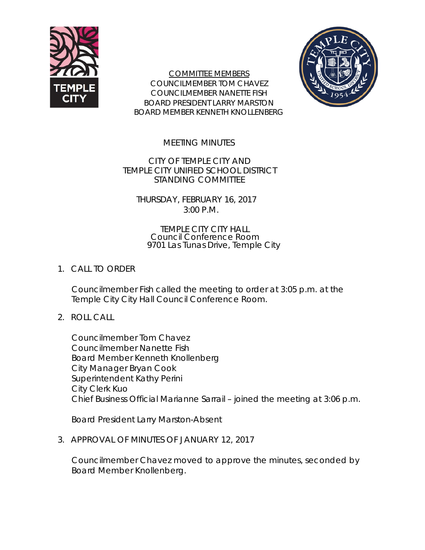

COMMITTEE MEMBERS COUNCILMEMBER TOM CHAVEZ COUNCILMEMBER NANETTE FISH BOARD PRESIDENT LARRY MARSTON BOARD MEMBER KENNETH KNOLLENBERG



MEETING MINUTES

CITY OF TEMPLE CITY AND TEMPLE CITY UNIFIED SCHOOL DISTRICT STANDING COMMITTEE

THURSDAY, FEBRUARY 16, 2017 3:00 P.M.

TEMPLE CITY CITY HALL Council Conference Room 9701 Las Tunas Drive, Temple City

## 1. CALL TO ORDER

Councilmember Fish called the meeting to order at 3:05 p.m. at the Temple City City Hall Council Conference Room.

2. ROLL CALL

Councilmember Tom Chavez Councilmember Nanette Fish Board Member Kenneth Knollenberg City Manager Bryan Cook Superintendent Kathy Perini City Clerk Kuo Chief Business Official Marianne Sarrail – joined the meeting at 3:06 p.m.

Board President Larry Marston-Absent

3. APPROVAL OF MINUTES OF JANUARY 12, 2017

Councilmember Chavez moved to approve the minutes, seconded by Board Member Knollenberg.